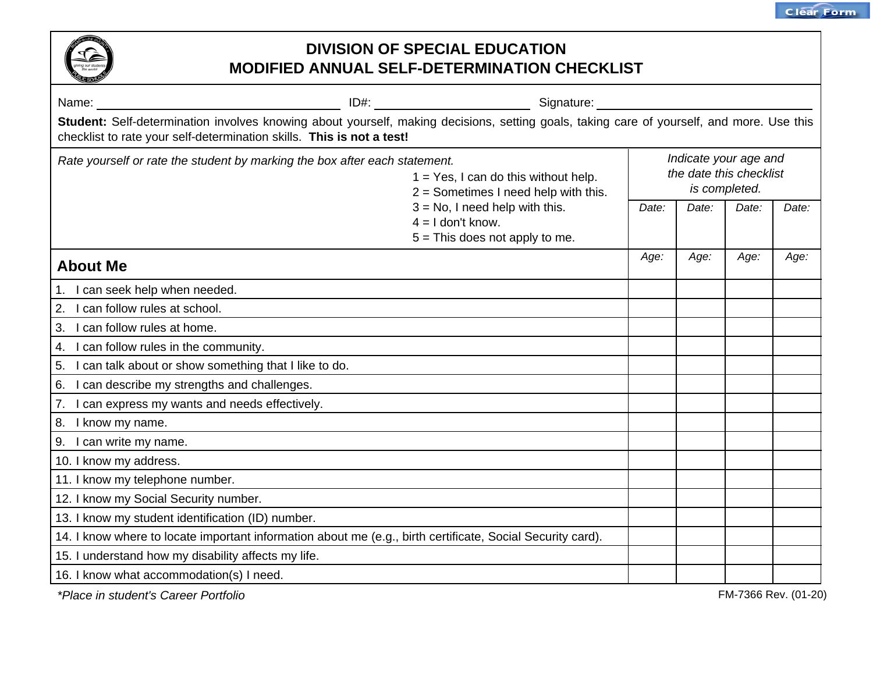

| Student: Self-determination involves knowing about yourself, making decisions, setting goals, taking care of yourself, and more. Use this<br>checklist to rate your self-determination skills. This is not a test! |                                                                                              |       |                                                                   |       |       |  |
|--------------------------------------------------------------------------------------------------------------------------------------------------------------------------------------------------------------------|----------------------------------------------------------------------------------------------|-------|-------------------------------------------------------------------|-------|-------|--|
| Rate yourself or rate the student by marking the box after each statement.                                                                                                                                         | $1 = Yes$ , I can do this without help.<br>$2 =$ Sometimes I need help with this.            |       | Indicate your age and<br>the date this checklist<br>is completed. |       |       |  |
|                                                                                                                                                                                                                    | $3 = No$ , I need help with this.<br>$4 = 1$ don't know.<br>$5 =$ This does not apply to me. | Date: | Date:                                                             | Date: | Date: |  |
| <b>About Me</b>                                                                                                                                                                                                    |                                                                                              | Age:  | Age:                                                              | Age:  | Age:  |  |
| 1. I can seek help when needed.                                                                                                                                                                                    |                                                                                              |       |                                                                   |       |       |  |
| 2. I can follow rules at school.                                                                                                                                                                                   |                                                                                              |       |                                                                   |       |       |  |
| 3. I can follow rules at home.                                                                                                                                                                                     |                                                                                              |       |                                                                   |       |       |  |
| 4. I can follow rules in the community.                                                                                                                                                                            |                                                                                              |       |                                                                   |       |       |  |
| 5. I can talk about or show something that I like to do.                                                                                                                                                           |                                                                                              |       |                                                                   |       |       |  |
| 6. I can describe my strengths and challenges.                                                                                                                                                                     |                                                                                              |       |                                                                   |       |       |  |
| 7. I can express my wants and needs effectively.                                                                                                                                                                   |                                                                                              |       |                                                                   |       |       |  |
| 8. I know my name.                                                                                                                                                                                                 |                                                                                              |       |                                                                   |       |       |  |
| 9. I can write my name.                                                                                                                                                                                            |                                                                                              |       |                                                                   |       |       |  |
| 10. I know my address.                                                                                                                                                                                             |                                                                                              |       |                                                                   |       |       |  |
| 11. I know my telephone number.                                                                                                                                                                                    |                                                                                              |       |                                                                   |       |       |  |
| 12. I know my Social Security number.                                                                                                                                                                              |                                                                                              |       |                                                                   |       |       |  |
| 13. I know my student identification (ID) number.                                                                                                                                                                  |                                                                                              |       |                                                                   |       |       |  |
| 14. I know where to locate important information about me (e.g., birth certificate, Social Security card).                                                                                                         |                                                                                              |       |                                                                   |       |       |  |
| 15. I understand how my disability affects my life.                                                                                                                                                                |                                                                                              |       |                                                                   |       |       |  |
| 16. I know what accommodation(s) I need.                                                                                                                                                                           |                                                                                              |       |                                                                   |       |       |  |

*\*Place in student's Career Portfolio*

FM-7366 Rev. (01-20)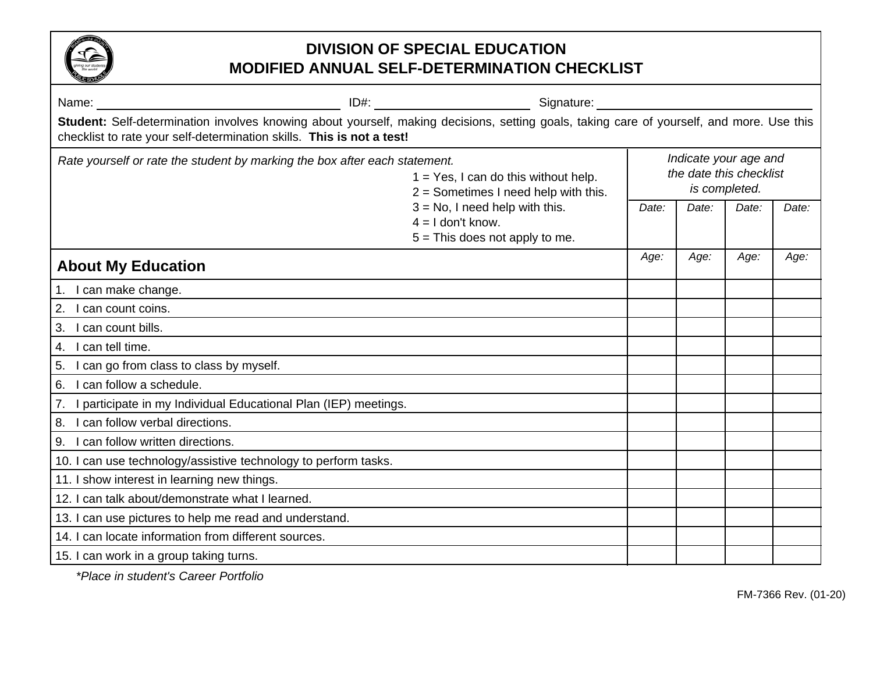

|                                                                                                                                                                                                                    |  | Signature: explorer and the state of the state of the state of the state of the state of the state of the state of the state of the state of the state of the state of the state of the state of the state of the state of the |       |       |       |       |  |
|--------------------------------------------------------------------------------------------------------------------------------------------------------------------------------------------------------------------|--|--------------------------------------------------------------------------------------------------------------------------------------------------------------------------------------------------------------------------------|-------|-------|-------|-------|--|
| Student: Self-determination involves knowing about yourself, making decisions, setting goals, taking care of yourself, and more. Use this<br>checklist to rate your self-determination skills. This is not a test! |  |                                                                                                                                                                                                                                |       |       |       |       |  |
| Rate yourself or rate the student by marking the box after each statement.<br>$1 = Yes$ , I can do this without help.<br>$2 =$ Sometimes I need help with this.                                                    |  | Indicate your age and<br>the date this checklist<br>is completed.                                                                                                                                                              |       |       |       |       |  |
|                                                                                                                                                                                                                    |  | $3 = No$ , I need help with this.<br>$4 = 1$ don't know.<br>$5 =$ This does not apply to me.                                                                                                                                   | Date: | Date: | Date: | Date: |  |
| <b>About My Education</b>                                                                                                                                                                                          |  |                                                                                                                                                                                                                                | Age:  | Age:  | Age:  | Age:  |  |
| 1. I can make change.                                                                                                                                                                                              |  |                                                                                                                                                                                                                                |       |       |       |       |  |
| 2.<br>I can count coins.                                                                                                                                                                                           |  |                                                                                                                                                                                                                                |       |       |       |       |  |
| 3. I can count bills.                                                                                                                                                                                              |  |                                                                                                                                                                                                                                |       |       |       |       |  |
| 4. I can tell time.                                                                                                                                                                                                |  |                                                                                                                                                                                                                                |       |       |       |       |  |
| 5. I can go from class to class by myself.                                                                                                                                                                         |  |                                                                                                                                                                                                                                |       |       |       |       |  |
| 6. I can follow a schedule.                                                                                                                                                                                        |  |                                                                                                                                                                                                                                |       |       |       |       |  |
| 7. I participate in my Individual Educational Plan (IEP) meetings.                                                                                                                                                 |  |                                                                                                                                                                                                                                |       |       |       |       |  |
| 8. I can follow verbal directions.                                                                                                                                                                                 |  |                                                                                                                                                                                                                                |       |       |       |       |  |
| 9. I can follow written directions.                                                                                                                                                                                |  |                                                                                                                                                                                                                                |       |       |       |       |  |
| 10. I can use technology/assistive technology to perform tasks.                                                                                                                                                    |  |                                                                                                                                                                                                                                |       |       |       |       |  |
| 11. I show interest in learning new things.                                                                                                                                                                        |  |                                                                                                                                                                                                                                |       |       |       |       |  |
| 12. I can talk about/demonstrate what I learned.                                                                                                                                                                   |  |                                                                                                                                                                                                                                |       |       |       |       |  |
| 13. I can use pictures to help me read and understand.                                                                                                                                                             |  |                                                                                                                                                                                                                                |       |       |       |       |  |
| 14. I can locate information from different sources.                                                                                                                                                               |  |                                                                                                                                                                                                                                |       |       |       |       |  |
| 15. I can work in a group taking turns.                                                                                                                                                                            |  |                                                                                                                                                                                                                                |       |       |       |       |  |

*\*Place in student's Career Portfolio*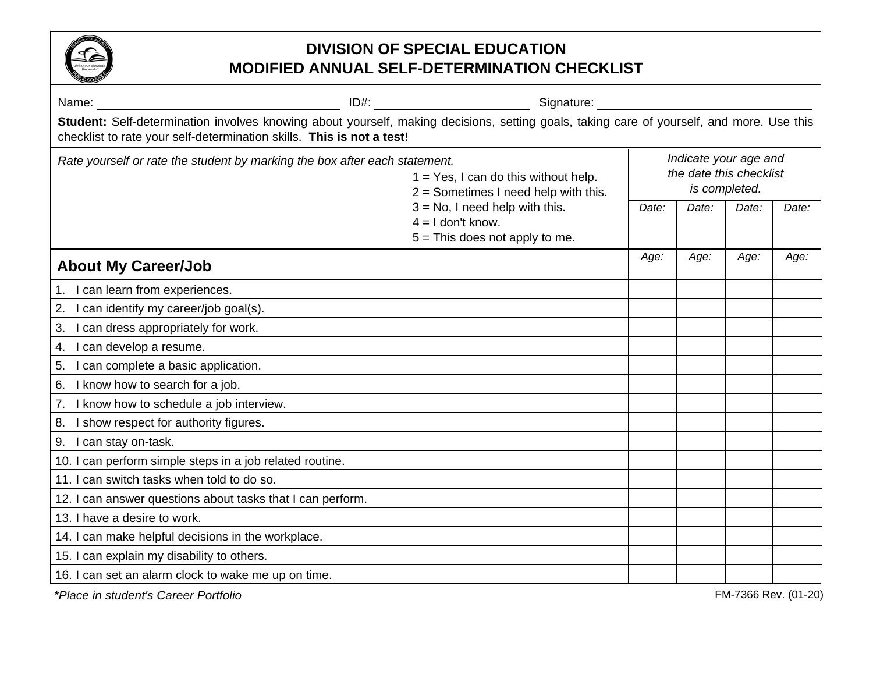

| Name: Name: Name: Name: Name: Name: Name: Name: Name: Name: Name: Name: Name: Name: Name: Name: Name: Name: Name: Name: Name: Name: Name: Name: Name: Name: Name: Name: Name: Name: Name: Name: Name: Name: Name: Name: Name: |                                                                                              |       |       |       |       |
|-------------------------------------------------------------------------------------------------------------------------------------------------------------------------------------------------------------------------------|----------------------------------------------------------------------------------------------|-------|-------|-------|-------|
| Student: Self-determination involves knowing about yourself, making decisions, setting goals, taking care of yourself, and more. Use this<br>checklist to rate your self-determination skills. This is not a test!            |                                                                                              |       |       |       |       |
| Rate yourself or rate the student by marking the box after each statement.<br>$1 = Yes$ , I can do this without help.<br>$2 =$ Sometimes I need help with this.                                                               | Indicate your age and<br>the date this checklist<br>is completed.                            |       |       |       |       |
|                                                                                                                                                                                                                               | $3 = No$ , I need help with this.<br>$4 = 1$ don't know.<br>$5 =$ This does not apply to me. | Date: | Date: | Date: | Date: |
| <b>About My Career/Job</b>                                                                                                                                                                                                    |                                                                                              | Age:  | Age:  | Age:  | Age:  |
| 1. I can learn from experiences.                                                                                                                                                                                              |                                                                                              |       |       |       |       |
| I can identify my career/job goal(s).<br>2.                                                                                                                                                                                   |                                                                                              |       |       |       |       |
| I can dress appropriately for work.<br>3.                                                                                                                                                                                     |                                                                                              |       |       |       |       |
| I can develop a resume.<br>4.                                                                                                                                                                                                 |                                                                                              |       |       |       |       |
| 5.<br>I can complete a basic application.                                                                                                                                                                                     |                                                                                              |       |       |       |       |
| I know how to search for a job.<br>6.                                                                                                                                                                                         |                                                                                              |       |       |       |       |
| 7. I know how to schedule a job interview.                                                                                                                                                                                    |                                                                                              |       |       |       |       |
| I show respect for authority figures.<br>8.                                                                                                                                                                                   |                                                                                              |       |       |       |       |
| I can stay on-task.<br>9.                                                                                                                                                                                                     |                                                                                              |       |       |       |       |
| 10. I can perform simple steps in a job related routine.                                                                                                                                                                      |                                                                                              |       |       |       |       |
| 11. I can switch tasks when told to do so.                                                                                                                                                                                    |                                                                                              |       |       |       |       |
| 12. I can answer questions about tasks that I can perform.                                                                                                                                                                    |                                                                                              |       |       |       |       |
| 13. I have a desire to work.                                                                                                                                                                                                  |                                                                                              |       |       |       |       |
| 14. I can make helpful decisions in the workplace.                                                                                                                                                                            |                                                                                              |       |       |       |       |
| 15. I can explain my disability to others.                                                                                                                                                                                    |                                                                                              |       |       |       |       |
| 16. I can set an alarm clock to wake me up on time.                                                                                                                                                                           |                                                                                              |       |       |       |       |

*\*Place in student's Career Portfolio*

FM-7366 Rev. (01-20)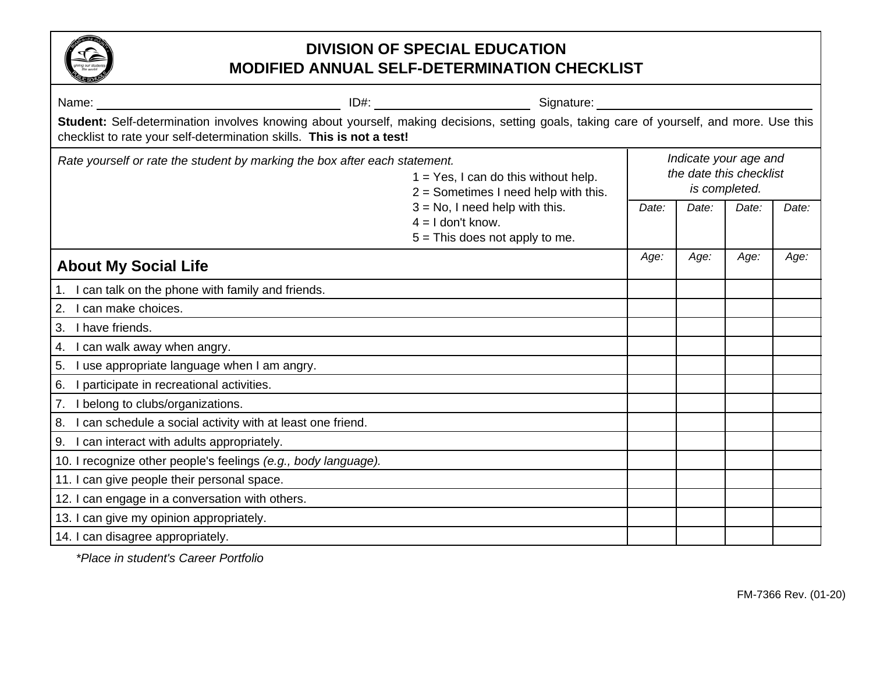

| Name:                                                                                                                                                                                                              |                                                                                              | Signature:                                                                        |                                                                   |       |       |       |  |
|--------------------------------------------------------------------------------------------------------------------------------------------------------------------------------------------------------------------|----------------------------------------------------------------------------------------------|-----------------------------------------------------------------------------------|-------------------------------------------------------------------|-------|-------|-------|--|
| Student: Self-determination involves knowing about yourself, making decisions, setting goals, taking care of yourself, and more. Use this<br>checklist to rate your self-determination skills. This is not a test! |                                                                                              |                                                                                   |                                                                   |       |       |       |  |
| Rate yourself or rate the student by marking the box after each statement.                                                                                                                                         |                                                                                              | $1 = Yes$ , I can do this without help.<br>$2 =$ Sometimes I need help with this. | Indicate your age and<br>the date this checklist<br>is completed. |       |       |       |  |
|                                                                                                                                                                                                                    | $3 = No$ , I need help with this.<br>$4 = 1$ don't know.<br>$5 =$ This does not apply to me. |                                                                                   | Date:                                                             | Date: | Date: | Date: |  |
| <b>About My Social Life</b>                                                                                                                                                                                        |                                                                                              |                                                                                   | Age:                                                              | Age:  | Age:  | Age:  |  |
| 1. I can talk on the phone with family and friends.                                                                                                                                                                |                                                                                              |                                                                                   |                                                                   |       |       |       |  |
| 2. I can make choices.                                                                                                                                                                                             |                                                                                              |                                                                                   |                                                                   |       |       |       |  |
| 3. I have friends.                                                                                                                                                                                                 |                                                                                              |                                                                                   |                                                                   |       |       |       |  |
| 4. I can walk away when angry.                                                                                                                                                                                     |                                                                                              |                                                                                   |                                                                   |       |       |       |  |
| 5. I use appropriate language when I am angry.                                                                                                                                                                     |                                                                                              |                                                                                   |                                                                   |       |       |       |  |
| 6. I participate in recreational activities.                                                                                                                                                                       |                                                                                              |                                                                                   |                                                                   |       |       |       |  |
| 7. I belong to clubs/organizations.                                                                                                                                                                                |                                                                                              |                                                                                   |                                                                   |       |       |       |  |
| 8. I can schedule a social activity with at least one friend.                                                                                                                                                      |                                                                                              |                                                                                   |                                                                   |       |       |       |  |
| 9. I can interact with adults appropriately.                                                                                                                                                                       |                                                                                              |                                                                                   |                                                                   |       |       |       |  |
| 10. I recognize other people's feelings (e.g., body language).                                                                                                                                                     |                                                                                              |                                                                                   |                                                                   |       |       |       |  |
| 11. I can give people their personal space.                                                                                                                                                                        |                                                                                              |                                                                                   |                                                                   |       |       |       |  |
| 12. I can engage in a conversation with others.                                                                                                                                                                    |                                                                                              |                                                                                   |                                                                   |       |       |       |  |
| 13. I can give my opinion appropriately.                                                                                                                                                                           |                                                                                              |                                                                                   |                                                                   |       |       |       |  |
| 14. I can disagree appropriately.                                                                                                                                                                                  |                                                                                              |                                                                                   |                                                                   |       |       |       |  |

*\*Place in student's Career Portfolio*